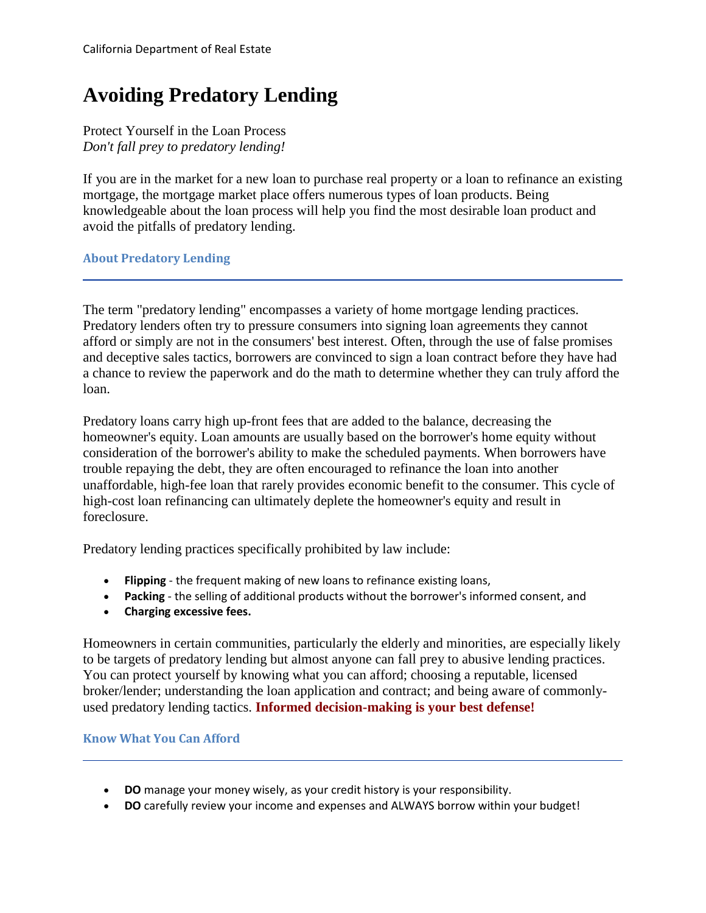# **Avoiding Predatory Lending**

Protect Yourself in the Loan Process *Don't fall prey to predatory lending!* 

 If you are in the market for a new loan to purchase real property or a loan to refinance an existing mortgage, the mortgage market place offers numerous types of loan products. Being knowledgeable about the loan process will help you find the most desirable loan product and avoid the pitfalls of predatory lending.

**About Predatory Lending** 

 and deceptive sales tactics, borrowers are convinced to sign a loan contract before they have had The term "predatory lending" encompasses a variety of home mortgage lending practices. Predatory lenders often try to pressure consumers into signing loan agreements they cannot afford or simply are not in the consumers' best interest. Often, through the use of false promises a chance to review the paperwork and do the math to determine whether they can truly afford the loan.

Predatory loans carry high up-front fees that are added to the balance, decreasing the homeowner's equity. Loan amounts are usually based on the borrower's home equity without consideration of the borrower's ability to make the scheduled payments. When borrowers have trouble repaying the debt, they are often encouraged to refinance the loan into another unaffordable, high-fee loan that rarely provides economic benefit to the consumer. This cycle of high-cost loan refinancing can ultimately deplete the homeowner's equity and result in foreclosure.

Predatory lending practices specifically prohibited by law include:

- **Flipping**  the frequent making of new loans to refinance existing loans,
- **Packing**  the selling of additional products without the borrower's informed consent, and
- **Charging excessive fees.**

 You can protect yourself by knowing what you can afford; choosing a reputable, licensed Homeowners in certain communities, particularly the elderly and minorities, are especially likely to be targets of predatory lending but almost anyone can fall prey to abusive lending practices. broker/lender; understanding the loan application and contract; and being aware of commonlyused predatory lending tactics. **Informed decision-making is your best defense!** 

#### **Know What You Can Afford**

- **DO** manage your money wisely, as your credit history is your responsibility.
- **DO** carefully review your income and expenses and ALWAYS borrow within your budget!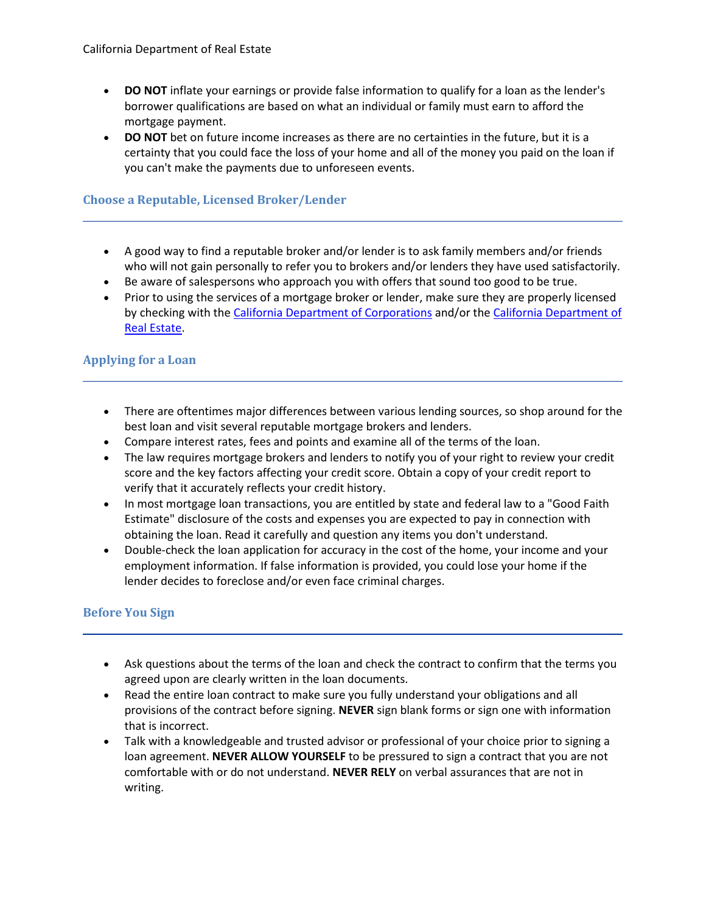- • **DO NOT** inflate your earnings or provide false information to qualify for a loan as the lender's borrower qualifications are based on what an individual or family must earn to afford the mortgage payment.
- • **DO NOT** bet on future income increases as there are no certainties in the future, but it is a you can't make the payments due to unforeseen events. certainty that you could face the loss of your home and all of the money you paid on the loan if

## **Choose a Reputable, Licensed Broker/Lender**

- • A good way to find a reputable broker and/or lender is to ask family members and/or friends who will not gain personally to refer you to brokers and/or lenders they have used satisfactorily.
- Be aware of salespersons who approach you with offers that sound too good to be true.
- by checking with the [California Department of Corporations](https://dbo.ca.gov) and/or the California Department of • Prior to using the services of a mortgage broker or lender, make sure they are properly licensed [Real Estate.](https://www.dre.ca.gov)

## **Applying for a Loan**

- • There are oftentimes major differences between various lending sources, so shop around for the best loan and visit several reputable mortgage brokers and lenders.
- Compare interest rates, fees and points and examine all of the terms of the loan.
- The law requires mortgage brokers and lenders to notify you of your right to review your credit score and the key factors affecting your credit score. Obtain a copy of your credit report to verify that it accurately reflects your credit history.
- In most mortgage loan transactions, you are entitled by state and federal law to a "Good Faith Estimate" disclosure of the costs and expenses you are expected to pay in connection with obtaining the loan. Read it carefully and question any items you don't understand.
- Double-check the loan application for accuracy in the cost of the home, your income and your employment information. If false information is provided, you could lose your home if the lender decides to foreclose and/or even face criminal charges.

# **Before You Sign**

- Ask questions about the terms of the loan and check the contract to confirm that the terms you agreed upon are clearly written in the loan documents.
- Read the entire loan contract to make sure you fully understand your obligations and all provisions of the contract before signing. **NEVER** sign blank forms or sign one with information that is incorrect.
- comfortable with or do not understand. **NEVER RELY** on verbal assurances that are not in • Talk with a knowledgeable and trusted advisor or professional of your choice prior to signing a loan agreement. **NEVER ALLOW YOURSELF** to be pressured to sign a contract that you are not writing.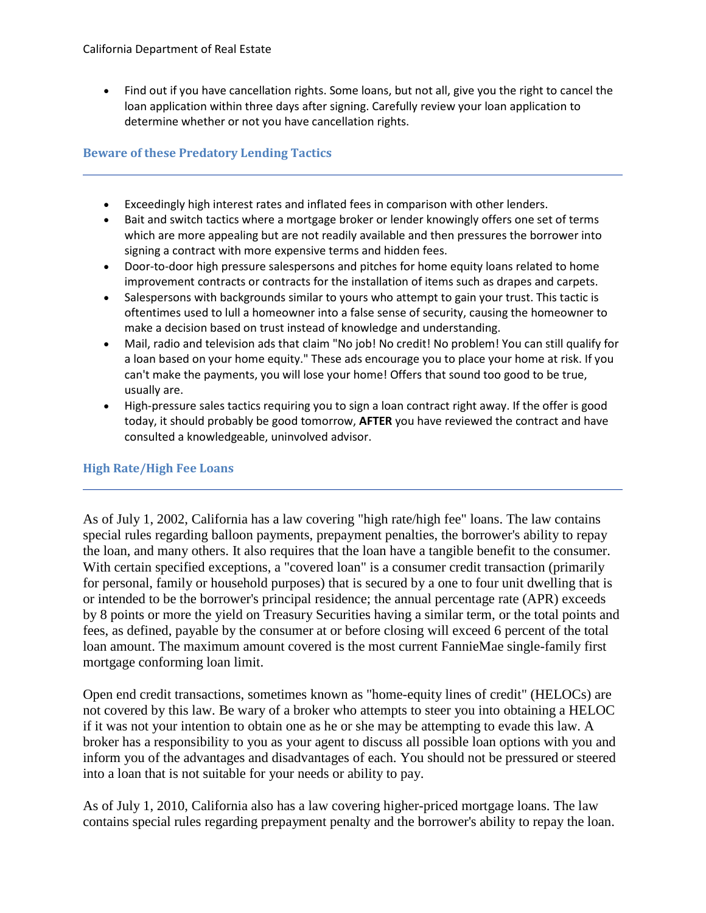• Find out if you have cancellation rights. Some loans, but not all, give you the right to cancel the determine whether or not you have cancellation rights. loan application within three days after signing. Carefully review your loan application to

## **Beware of these Predatory Lending Tactics**

- Exceedingly high interest rates and inflated fees in comparison with other lenders.
- • Bait and switch tactics where a mortgage broker or lender knowingly offers one set of terms which are more appealing but are not readily available and then pressures the borrower into signing a contract with more expensive terms and hidden fees.
- Door-to-door high pressure salespersons and pitches for home equity loans related to home improvement contracts or contracts for the installation of items such as drapes and carpets.
- • Salespersons with backgrounds similar to yours who attempt to gain your trust. This tactic is make a decision based on trust instead of knowledge and understanding. oftentimes used to lull a homeowner into a false sense of security, causing the homeowner to
- • Mail, radio and television ads that claim "No job! No credit! No problem! You can still qualify for a loan based on your home equity." These ads encourage you to place your home at risk. If you can't make the payments, you will lose your home! Offers that sound too good to be true, usually are.
- • High-pressure sales tactics requiring you to sign a loan contract right away. If the offer is good today, it should probably be good tomorrow, **AFTER** you have reviewed the contract and have consulted a knowledgeable, uninvolved advisor.

#### **High Rate/High Fee Loans**

As of July 1, 2002, California has a law covering "high rate/high fee" loans. The law contains special rules regarding balloon payments, prepayment penalties, the borrower's ability to repay the loan, and many others. It also requires that the loan have a tangible benefit to the consumer. With certain specified exceptions, a "covered loan" is a consumer credit transaction (primarily for personal, family or household purposes) that is secured by a one to four unit dwelling that is or intended to be the borrower's principal residence; the annual percentage rate (APR) exceeds by 8 points or more the yield on Treasury Securities having a similar term, or the total points and fees, as defined, payable by the consumer at or before closing will exceed 6 percent of the total loan amount. The maximum amount covered is the most current FannieMae single-family first mortgage conforming loan limit.

 broker has a responsibility to you as your agent to discuss all possible loan options with you and into a loan that is not suitable for your needs or ability to pay. Open end credit transactions, sometimes known as "home-equity lines of credit" (HELOCs) are not covered by this law. Be wary of a broker who attempts to steer you into obtaining a HELOC if it was not your intention to obtain one as he or she may be attempting to evade this law. A inform you of the advantages and disadvantages of each. You should not be pressured or steered

As of July 1, 2010, California also has a law covering higher-priced mortgage loans. The law contains special rules regarding prepayment penalty and the borrower's ability to repay the loan.